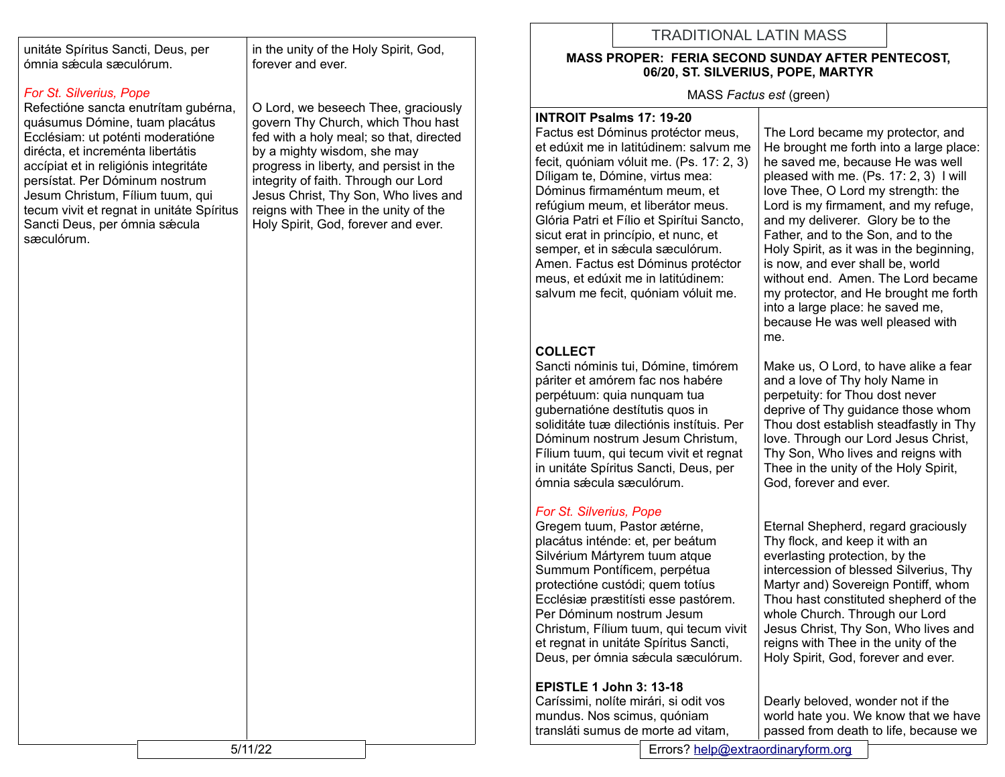unitáte Spíritus Sancti, Deus, per ómnia sǽcula sæculórum.

#### *For St. Silverius, Pope*

Refectióne sancta enutrítam gubérna, quásumus Dómine, tuam placátus Ecclésiam: ut poténti moderatióne dirécta, et increménta libertátis accípiat et in religiónis integritáte persístat. Per Dóminum nostrum Jesum Christum, Fílium tuum, qui tecum vivit et regnat in unitáte Spíritus Sancti Deus, per ómnia sæcula sæculórum.

in the unity of the Holy Spirit, God, forever and ever.

O Lord, we beseech Thee, graciously govern Thy Church, which Thou hast fed with a holy meal; so that, directed by a mighty wisdom, she may progress in liberty, and persist in the integrity of faith. Through our Lord Jesus Christ, Thy Son, Who lives and reigns with Thee in the unity of the Holy Spirit, God, forever and ever.

# TRADITIONAL LATIN MASS

#### **MASS PROPER: FERIA SECOND SUNDAY AFTER PENTECOST, 06/20, ST. SILVERIUS, POPE, MARTYR**

MASS *Factus est* (green)

#### **INTROIT Psalms 17: 19-20**

Factus est Dóminus protéctor meus, et edúxit me in latitúdinem: salvum me fecit, quóniam vóluit me. (Ps. 17: 2, 3) Díligam te, Dómine, virtus mea: Dóminus firmaméntum meum, et refúgium meum, et liberátor meus. Glória Patri et Fílio et Spirítui Sancto, sicut erat in princípio, et nunc, et semper, et in sǽcula sæculórum. Amen. Factus est Dóminus protéctor meus, et edúxit me in latitúdinem: salvum me fecit, quóniam vóluit me.

# **COLLECT**

Sancti nóminis tui, Dómine, timórem páriter et amórem fac nos habére perpétuum: quia nunquam tua gubernatióne destítutis quos in soliditáte tuæ dilectiónis instítuis. Per Dóminum nostrum Jesum Christum, Fílium tuum, qui tecum vivit et regnat in unitáte Spíritus Sancti, Deus, per ómnia sǽcula sæculórum.

# *For St. Silverius, Pope*

Gregem tuum, Pastor ætérne, placátus inténde: et, per beátum Silvérium Mártyrem tuum atque Summum Pontíficem, perpétua protectióne custódi; quem totíus Ecclésiæ præstitísti esse pastórem. Per Dóminum nostrum Jesum Christum, Fílium tuum, qui tecum vivit et regnat in unitáte Spíritus Sancti, Deus, per ómnia sǽcula sæculórum.

### **EPISTLE 1 John 3: 13-18**

Caríssimi, nolíte mirári, si odit vos mundus. Nos scimus, quóniam transláti sumus de morte ad vitam,

The Lord became my protector, and He brought me forth into a large place: he saved me, because He was well pleased with me. (Ps. 17: 2, 3) I will love Thee, O Lord my strength: the Lord is my firmament, and my refuge, and my deliverer. Glory be to the Father, and to the Son, and to the Holy Spirit, as it was in the beginning, is now, and ever shall be, world without end. Amen. The Lord became my protector, and He brought me forth into a large place: he saved me, because He was well pleased with me.

Make us, O Lord, to have alike a fear and a love of Thy holy Name in perpetuity: for Thou dost never deprive of Thy guidance those whom Thou dost establish steadfastly in Thy love. Through our Lord Jesus Christ, Thy Son, Who lives and reigns with Thee in the unity of the Holy Spirit, God, forever and ever.

Eternal Shepherd, regard graciously Thy flock, and keep it with an everlasting protection, by the intercession of blessed Silverius, Thy Martyr and) Sovereign Pontiff, whom Thou hast constituted shepherd of the whole Church. Through our Lord Jesus Christ, Thy Son, Who lives and reigns with Thee in the unity of the Holy Spirit, God, forever and ever.

Dearly beloved, wonder not if the world hate you. We know that we have passed from death to life, because we

5/11/22 Errors? [help@extraordinaryform.org](mailto:help@extraordinaryform.org)